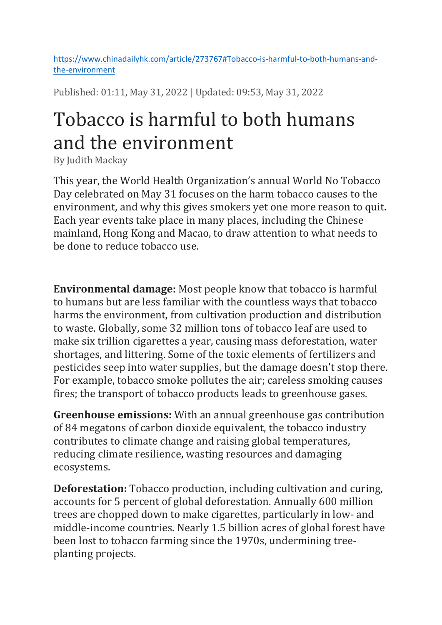https://www.chinadailyhk.com/article/273767#Tobacco-is-harmful-to-both-humans-andthe-environment

Published: 01:11, May 31, 2022 | Updated: 09:53, May 31, 2022

## Tobacco is harmful to both humans and the environment

By Judith Mackay

This year, the World Health Organization's annual World No Tobacco Day celebrated on May 31 focuses on the harm tobacco causes to the environment, and why this gives smokers yet one more reason to quit. Each year events take place in many places, including the Chinese mainland, Hong Kong and Macao, to draw attention to what needs to be done to reduce tobacco use.

Environmental damage: Most people know that tobacco is harmful to humans but are less familiar with the countless ways that tobacco harms the environment, from cultivation production and distribution to waste. Globally, some 32 million tons of tobacco leaf are used to make six trillion cigarettes a year, causing mass deforestation, water shortages, and littering. Some of the toxic elements of fertilizers and pesticides seep into water supplies, but the damage doesn't stop there. For example, tobacco smoke pollutes the air; careless smoking causes fires; the transport of tobacco products leads to greenhouse gases.

Greenhouse emissions: With an annual greenhouse gas contribution of 84 megatons of carbon dioxide equivalent, the tobacco industry contributes to climate change and raising global temperatures, reducing climate resilience, wasting resources and damaging ecosystems.

Deforestation: Tobacco production, including cultivation and curing, accounts for 5 percent of global deforestation. Annually 600 million trees are chopped down to make cigarettes, particularly in low- and middle-income countries. Nearly 1.5 billion acres of global forest have been lost to tobacco farming since the 1970s, undermining treeplanting projects.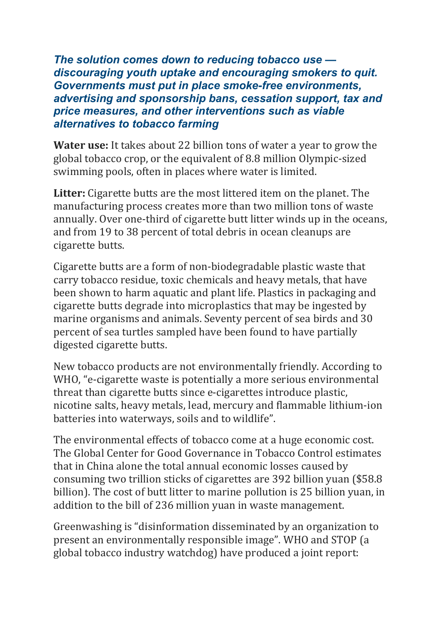The solution comes down to reducing tobacco use discouraging youth uptake and encouraging smokers to quit. Governments must put in place smoke-free environments, advertising and sponsorship bans, cessation support, tax and price measures, and other interventions such as viable alternatives to tobacco farming

Water use: It takes about 22 billion tons of water a year to grow the global tobacco crop, or the equivalent of 8.8 million Olympic-sized swimming pools, often in places where water is limited.

Litter: Cigarette butts are the most littered item on the planet. The manufacturing process creates more than two million tons of waste annually. Over one-third of cigarette butt litter winds up in the oceans, and from 19 to 38 percent of total debris in ocean cleanups are cigarette butts.

Cigarette butts are a form of non-biodegradable plastic waste that carry tobacco residue, toxic chemicals and heavy metals, that have been shown to harm aquatic and plant life. Plastics in packaging and cigarette butts degrade into microplastics that may be ingested by marine organisms and animals. Seventy percent of sea birds and 30 percent of sea turtles sampled have been found to have partially digested cigarette butts.

New tobacco products are not environmentally friendly. According to WHO, "e-cigarette waste is potentially a more serious environmental threat than cigarette butts since e-cigarettes introduce plastic, nicotine salts, heavy metals, lead, mercury and flammable lithium-ion batteries into waterways, soils and to wildlife".

The environmental effects of tobacco come at a huge economic cost. The Global Center for Good Governance in Tobacco Control estimates that in China alone the total annual economic losses caused by consuming two trillion sticks of cigarettes are 392 billion yuan (\$58.8 billion). The cost of butt litter to marine pollution is 25 billion yuan, in addition to the bill of 236 million yuan in waste management.

Greenwashing is "disinformation disseminated by an organization to present an environmentally responsible image". WHO and STOP (a global tobacco industry watchdog) have produced a joint report: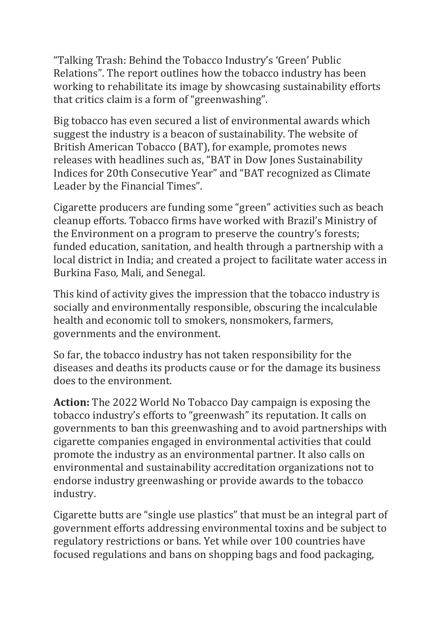"Talking Trash: Behind the Tobacco Industry's 'Green' Public Relations". The report outlines how the tobacco industry has been working to rehabilitate its image by showcasing sustainability efforts that critics claim is a form of "greenwashing".

Big tobacco has even secured a list of environmental awards which suggest the industry is a beacon of sustainability. The website of British American Tobacco (BAT), for example, promotes news releases with headlines such as, "BAT in Dow Jones Sustainability Indices for 20th Consecutive Year" and "BAT recognized as Climate Leader by the Financial Times".

Cigarette producers are funding some "green" activities such as beach cleanup efforts. Tobacco firms have worked with Brazil's Ministry of the Environment on a program to preserve the country's forests; funded education, sanitation, and health through a partnership with a local district in India; and created a project to facilitate water access in Burkina Faso, Mali, and Senegal.

This kind of activity gives the impression that the tobacco industry is socially and environmentally responsible, obscuring the incalculable health and economic toll to smokers, nonsmokers, farmers, governments and the environment.

So far, the tobacco industry has not taken responsibility for the diseases and deaths its products cause or for the damage its business does to the environment.

Action: The 2022 World No Tobacco Day campaign is exposing the tobacco industry's efforts to "greenwash" its reputation. It calls on governments to ban this greenwashing and to avoid partnerships with cigarette companies engaged in environmental activities that could promote the industry as an environmental partner. It also calls on environmental and sustainability accreditation organizations not to endorse industry greenwashing or provide awards to the tobacco industry.

Cigarette butts are "single use plastics" that must be an integral part of government efforts addressing environmental toxins and be subject to regulatory restrictions or bans. Yet while over 100 countries have focused regulations and bans on shopping bags and food packaging,